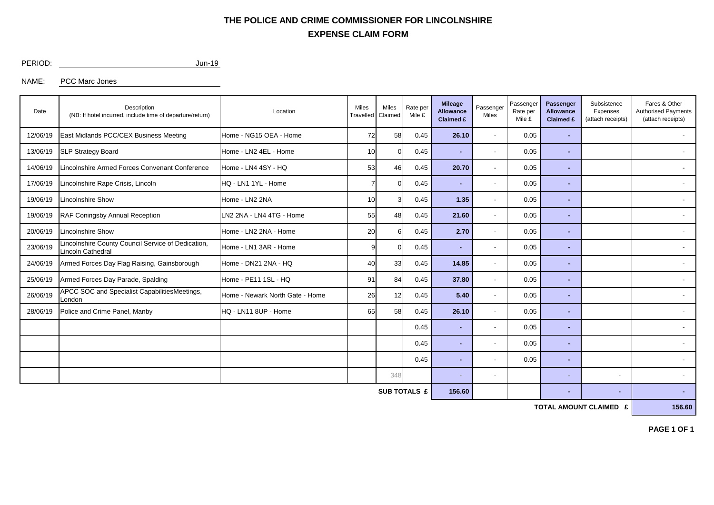## **EXPENSE CLAIM FORM THE POLICE AND CRIME COMMISSIONER FOR LINCOLNSHIRE**

PERIOD: Jun-19

NAME: PCC Marc Jones

| Date                | Description<br>(NB: If hotel incurred, include time of departure/return) | Location                        | Miles<br>Travelled | Miles<br>Claimed | Rate per<br>Mile £ | <b>Mileage</b><br><b>Allowance</b><br>Claimed £ | Passenger<br>Miles       | Passenger<br>Rate per<br>Mile £ | Passenger<br><b>Allowance</b><br>Claimed £ | Subsistence<br>Expenses<br>(attach receipts) | Fares & Other<br><b>Authorised Payments</b><br>(attach receipts) |  |
|---------------------|--------------------------------------------------------------------------|---------------------------------|--------------------|------------------|--------------------|-------------------------------------------------|--------------------------|---------------------------------|--------------------------------------------|----------------------------------------------|------------------------------------------------------------------|--|
| 12/06/19            | East Midlands PCC/CEX Business Meeting                                   | Home - NG15 OEA - Home          |                    | 58               | 0.45               | 26.10                                           | $\overline{\phantom{a}}$ | 0.05                            |                                            |                                              | $\blacksquare$                                                   |  |
| 13/06/19            | <b>SLP Strategy Board</b>                                                | Home - LN2 4EL - Home           |                    | 10<br>0.45<br>0  |                    |                                                 | $\overline{\phantom{a}}$ | 0.05                            | $\sim$                                     |                                              |                                                                  |  |
| 14/06/19            | incolnshire Armed Forces Convenant Conference                            | Home - LN4 4SY - HQ             | 53                 | 46               | 0.45               | 20.70                                           |                          | 0.05                            | $\overline{\phantom{0}}$                   |                                              |                                                                  |  |
| 17/06/19            | incolnshire Rape Crisis, Lincoln                                         | HQ - LN1 1YL - Home             |                    |                  | 0.45               | $\sim$                                          |                          | 0.05                            | $\sim$                                     |                                              | $\overline{\phantom{a}}$                                         |  |
| 19/06/19            | incolnshire Show                                                         | Home - LN2 2NA                  | 10                 |                  | 0.45               | 1.35                                            |                          | 0.05                            |                                            |                                              |                                                                  |  |
| 19/06/19            | RAF Coningsby Annual Reception                                           | LN2 2NA - LN4 4TG - Home        | 55                 | 48               | 0.45               | 21.60                                           |                          | 0.05                            | $\sim$                                     |                                              | $\overline{\phantom{a}}$                                         |  |
| 20/06/19            | Lincolnshire Show                                                        | Home - LN2 2NA - Home           | 20                 | 6                | 0.45               | 2.70                                            |                          | 0.05                            | $\overline{\phantom{0}}$                   |                                              |                                                                  |  |
| 23/06/19            | incolnshire County Council Service of Dedication,<br>incoln Cathedral    | Home - LN1 3AR - Home           | 9                  | 0                | 0.45               | $\blacksquare$                                  |                          | 0.05                            | $\blacksquare$                             |                                              | $\overline{\phantom{a}}$                                         |  |
| 24/06/19            | Armed Forces Day Flag Raising, Gainsborough                              | Home - DN21 2NA - HQ            | 40                 | 33               | 0.45               | 14.85                                           |                          | 0.05                            | $\sim$                                     |                                              | $\overline{\phantom{a}}$                                         |  |
| 25/06/19            | Armed Forces Day Parade, Spalding                                        | Home - PE11 1SL - HQ            | 91                 | 84               | 0.45               | 37.80                                           | $\sim$                   | 0.05                            | $\sim$                                     |                                              |                                                                  |  |
| 26/06/19            | APCC SOC and Specialist CapabilitiesMeetings,<br>_ondon                  | Home - Newark North Gate - Home | 26                 | 12               | 0.45               | 5.40                                            |                          | 0.05                            | $\sim$                                     |                                              | $\overline{\phantom{a}}$                                         |  |
| 28/06/19            | Police and Crime Panel, Manby                                            | HQ - LN11 8UP - Home            | 65                 | 58               | 0.45               | 26.10                                           |                          | 0.05                            | $\sim$                                     |                                              |                                                                  |  |
|                     |                                                                          |                                 |                    |                  | 0.45               | $\blacksquare$                                  |                          | 0.05                            | $\sim$                                     |                                              |                                                                  |  |
|                     |                                                                          |                                 |                    |                  | 0.45               | $\blacksquare$                                  |                          | 0.05                            | $\blacksquare$                             |                                              |                                                                  |  |
|                     |                                                                          |                                 |                    |                  | 0.45               | ۰                                               |                          | 0.05                            | ۰                                          |                                              |                                                                  |  |
|                     |                                                                          |                                 |                    | 348              |                    | $\sim$                                          |                          |                                 |                                            | $\sim$                                       |                                                                  |  |
| <b>SUB TOTALS £</b> |                                                                          |                                 |                    |                  |                    |                                                 |                          |                                 | $\blacksquare$                             | ٠                                            |                                                                  |  |

**TOTAL AMOUNT CLAIMED £** 156.60

**PAGE 1 OF 1**